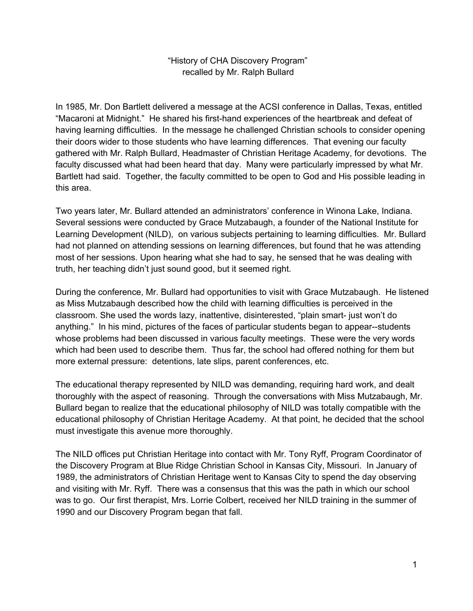## "History of CHA Discovery Program" recalled by Mr. Ralph Bullard

In 1985, Mr. Don Bartlett delivered a message at the ACSI conference in Dallas, Texas, entitled "Macaroni at Midnight." He shared his first-hand experiences of the heartbreak and defeat of having learning difficulties. In the message he challenged Christian schools to consider opening their doors wider to those students who have learning differences. That evening our faculty gathered with Mr. Ralph Bullard, Headmaster of Christian Heritage Academy, for devotions. The faculty discussed what had been heard that day. Many were particularly impressed by what Mr. Bartlett had said. Together, the faculty committed to be open to God and His possible leading in this area.

Two years later, Mr. Bullard attended an administrators' conference in Winona Lake, Indiana. Several sessions were conducted by Grace Mutzabaugh, a founder of the National Institute for Learning Development (NILD), on various subjects pertaining to learning difficulties. Mr. Bullard had not planned on attending sessions on learning differences, but found that he was attending most of her sessions. Upon hearing what she had to say, he sensed that he was dealing with truth, her teaching didn't just sound good, but it seemed right.

During the conference, Mr. Bullard had opportunities to visit with Grace Mutzabaugh. He listened as Miss Mutzabaugh described how the child with learning difficulties is perceived in the classroom. She used the words lazy, inattentive, disinterested, "plain smart- just won't do anything." In his mind, pictures of the faces of particular students began to appear--students whose problems had been discussed in various faculty meetings. These were the very words which had been used to describe them. Thus far, the school had offered nothing for them but more external pressure: detentions, late slips, parent conferences, etc.

The educational therapy represented by NILD was demanding, requiring hard work, and dealt thoroughly with the aspect of reasoning. Through the conversations with Miss Mutzabaugh, Mr. Bullard began to realize that the educational philosophy of NILD was totally compatible with the educational philosophy of Christian Heritage Academy. At that point, he decided that the school must investigate this avenue more thoroughly.

The NILD offices put Christian Heritage into contact with Mr. Tony Ryff, Program Coordinator of the Discovery Program at Blue Ridge Christian School in Kansas City, Missouri. In January of 1989, the administrators of Christian Heritage went to Kansas City to spend the day observing and visiting with Mr. Ryff. There was a consensus that this was the path in which our school was to go. Our first therapist, Mrs. Lorrie Colbert, received her NILD training in the summer of 1990 and our Discovery Program began that fall.